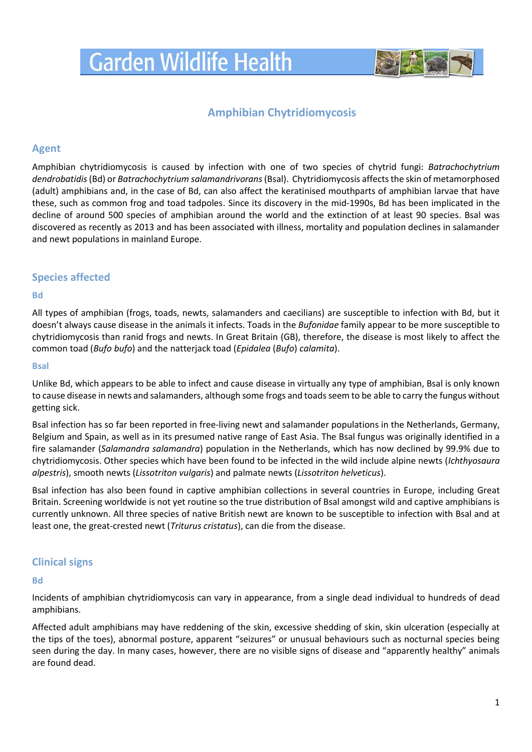# **Garden Wildlife Health**



## **Amphibian Chytridiomycosis**

## **Agent**

Amphibian chytridiomycosis is caused by infection with one of two species of chytrid fungi: *Batrachochytrium dendrobatidis*(Bd) or *Batrachochytrium salamandrivorans*(Bsal). Chytridiomycosis affects the skin of metamorphosed (adult) amphibians and, in the case of Bd, can also affect the keratinised mouthparts of amphibian larvae that have these, such as common frog and toad tadpoles. Since its discovery in the mid-1990s, Bd has been implicated in the decline of around 500 species of amphibian around the world and the extinction of at least 90 species. Bsal was discovered as recently as 2013 and has been associated with illness, mortality and population declines in salamander and newt populations in mainland Europe.

## **Species affected**

#### **Bd**

All types of amphibian (frogs, toads, newts, salamanders and caecilians) are susceptible to infection with Bd, but it doesn't always cause disease in the animals it infects. Toads in the *Bufonidae* family appear to be more susceptible to chytridiomycosis than ranid frogs and newts. In Great Britain (GB), therefore, the disease is most likely to affect the common toad (*Bufo bufo*) and the natterjack toad (*Epidalea* (*Bufo*) *calamita*).

#### **Bsal**

Unlike Bd, which appears to be able to infect and cause disease in virtually any type of amphibian, Bsal is only known to cause disease in newts and salamanders, although some frogs and toads seem to be able to carry the fungus without getting sick.

Bsal infection has so far been reported in free-living newt and salamander populations in the Netherlands, Germany, Belgium and Spain, as well as in its presumed native range of East Asia. The Bsal fungus was originally identified in a fire salamander (*Salamandra salamandra*) population in the Netherlands, which has now declined by 99.9% due to chytridiomycosis. Other species which have been found to be infected in the wild include alpine newts (*Ichthyosaura alpestris*), smooth newts (*Lissotriton vulgaris*) and palmate newts (*Lissotriton helveticus*).

Bsal infection has also been found in captive amphibian collections in several countries in Europe, including Great Britain. Screening worldwide is not yet routine so the true distribution of Bsal amongst wild and captive amphibians is currently unknown. All three species of native British newt are known to be susceptible to infection with Bsal and at least one, the great-crested newt (*Triturus cristatus*), can die from the disease.

## **Clinical signs**

### **Bd**

Incidents of amphibian chytridiomycosis can vary in appearance, from a single dead individual to hundreds of dead amphibians.

Affected adult amphibians may have reddening of the skin, excessive shedding of skin, skin ulceration (especially at the tips of the toes), abnormal posture, apparent "seizures" or unusual behaviours such as nocturnal species being seen during the day. In many cases, however, there are no visible signs of disease and "apparently healthy" animals are found dead.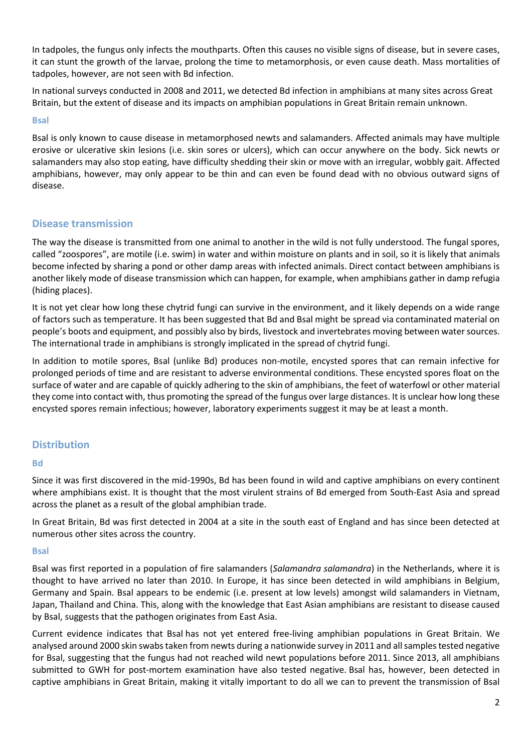In tadpoles, the fungus only infects the mouthparts. Often this causes no visible signs of disease, but in severe cases, it can stunt the growth of the larvae, prolong the time to metamorphosis, or even cause death. Mass mortalities of tadpoles, however, are not seen with Bd infection.

In national surveys conducted in 2008 and 2011, we detected Bd infection in amphibians at many sites across Great Britain, but the extent of disease and its impacts on amphibian populations in Great Britain remain unknown.

#### **Bsal**

Bsal is only known to cause disease in metamorphosed newts and salamanders. Affected animals may have multiple erosive or ulcerative skin lesions (i.e. skin sores or ulcers), which can occur anywhere on the body. Sick newts or salamanders may also stop eating, have difficulty shedding their skin or move with an irregular, wobbly gait. Affected amphibians, however, may only appear to be thin and can even be found dead with no obvious outward signs of disease.

## **Disease transmission**

The way the disease is transmitted from one animal to another in the wild is not fully understood. The fungal spores, called "zoospores", are motile (i.e. swim) in water and within moisture on plants and in soil, so it is likely that animals become infected by sharing a pond or other damp areas with infected animals. Direct contact between amphibians is another likely mode of disease transmission which can happen, for example, when amphibians gather in damp refugia (hiding places).

It is not yet clear how long these chytrid fungi can survive in the environment, and it likely depends on a wide range of factors such as temperature. It has been suggested that Bd and Bsal might be spread via contaminated material on people's boots and equipment, and possibly also by birds, livestock and invertebrates moving between water sources. The international trade in amphibians is strongly implicated in the spread of chytrid fungi.

In addition to motile spores, Bsal (unlike Bd) produces non-motile, encysted spores that can remain infective for prolonged periods of time and are resistant to adverse environmental conditions. These encysted spores float on the surface of water and are capable of quickly adhering to the skin of amphibians, the feet of waterfowl or other material they come into contact with, thus promoting the spread of the fungus over large distances. It is unclear how long these encysted spores remain infectious; however, laboratory experiments suggest it may be at least a month.

## **Distribution**

### **Bd**

Since it was first discovered in the mid-1990s, Bd has been found in wild and captive amphibians on every continent where amphibians exist. It is thought that the most virulent strains of Bd emerged from South-East Asia and spread across the planet as a result of the global amphibian trade.

In Great Britain, Bd was first detected in 2004 at a site in the south east of England and has since been detected at numerous other sites across the country.

#### **Bsal**

Bsal was first reported in a population of fire salamanders (*Salamandra salamandra*) in the Netherlands, where it is thought to have arrived no later than 2010. In Europe, it has since been detected in wild amphibians in Belgium, Germany and Spain. Bsal appears to be endemic (i.e. present at low levels) amongst wild salamanders in Vietnam, Japan, Thailand and China. This, along with the knowledge that East Asian amphibians are resistant to disease caused by Bsal, suggests that the pathogen originates from East Asia.

Current evidence indicates that Bsal has not yet entered free-living amphibian populations in Great Britain. We analysed around 2000 skin swabs taken from newts during a nationwide survey in 2011 and all samples tested negative for Bsal, suggesting that the fungus had not reached wild newt populations before 2011. Since 2013, all amphibians submitted to GWH for post-mortem examination have also tested negative. Bsal has, however, been detected in captive amphibians in Great Britain, making it vitally important to do all we can to prevent the transmission of Bsal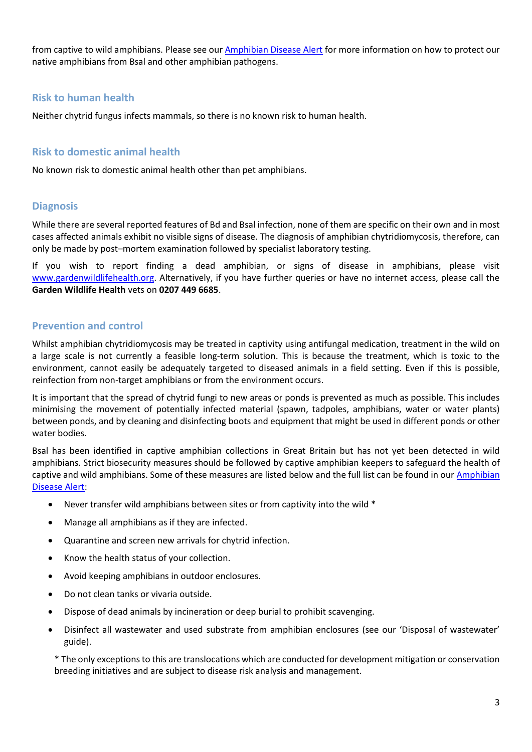from captive to wild amphibians. Please see ou[r Amphibian Disease Alert](https://www.gardenwildlifehealth.org/wp-content/uploads/sites/12/2019/12/Reducing-disease-risks-in-captive-amphibians-_-2019.pdf) for more information on how to protect our native amphibians from Bsal and other amphibian pathogens.

## **Risk to human health**

Neither chytrid fungus infects mammals, so there is no known risk to human health.

## **Risk to domestic animal health**

No known risk to domestic animal health other than pet amphibians.

## **Diagnosis**

While there are several reported features of Bd and Bsal infection, none of them are specific on their own and in most cases affected animals exhibit no visible signs of disease. The diagnosis of amphibian chytridiomycosis, therefore, can only be made by post–mortem examination followed by specialist laboratory testing.

If you wish to report finding a dead amphibian, or signs of disease in amphibians, please visit [www.gardenwildlifehealth.org.](file://///zsl77/ioz/IOZShared/Wildpath/Garden%20Wildlife%20Health/Webapp%20and%20postage/Factsheets/www.gardenwildlifehealth.org) Alternatively, if you have further queries or have no internet access, please call the **Garden Wildlife Health** vets on **0207 449 6685**.

## **Prevention and control**

Whilst amphibian chytridiomycosis may be treated in captivity using antifungal medication, treatment in the wild on a large scale is not currently a feasible long-term solution. This is because the treatment, which is toxic to the environment, cannot easily be adequately targeted to diseased animals in a field setting. Even if this is possible, reinfection from non-target amphibians or from the environment occurs.

It is important that the spread of chytrid fungi to new areas or ponds is prevented as much as possible. This includes minimising the movement of potentially infected material (spawn, tadpoles, amphibians, water or water plants) between ponds, and by cleaning and disinfecting boots and equipment that might be used in different ponds or other water bodies.

Bsal has been identified in captive amphibian collections in Great Britain but has not yet been detected in wild amphibians. Strict biosecurity measures should be followed by captive amphibian keepers to safeguard the health of captive and wild amphibians. Some of these measures are listed below and the full list can be found in ou[r Amphibian](https://www.gardenwildlifehealth.org/wp-content/uploads/sites/12/2019/12/Reducing-disease-risks-in-captive-amphibians-_-2019.pdf)  [Disease Alert:](https://www.gardenwildlifehealth.org/wp-content/uploads/sites/12/2019/12/Reducing-disease-risks-in-captive-amphibians-_-2019.pdf)

- Never transfer wild amphibians between sites or from captivity into the wild \*
- Manage all amphibians as if they are infected.
- Quarantine and screen new arrivals for chytrid infection.
- Know the health status of your collection.
- Avoid keeping amphibians in outdoor enclosures.
- Do not clean tanks or vivaria outside.
- Dispose of dead animals by incineration or deep burial to prohibit scavenging.
- Disinfect all wastewater and used substrate from amphibian enclosures (see our 'Disposal of wastewater' guide).

\* The only exceptions to this are translocations which are conducted for development mitigation or conservation breeding initiatives and are subject to disease risk analysis and management.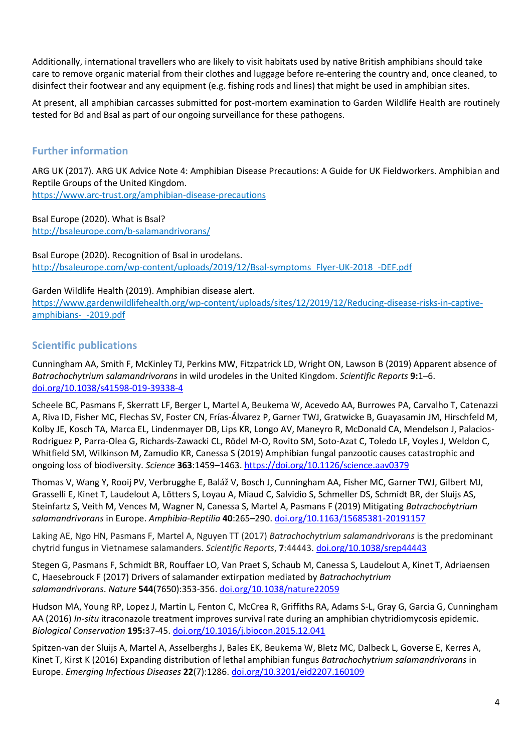Additionally, international travellers who are likely to visit habitats used by native British amphibians should take care to remove organic material from their clothes and luggage before re-entering the country and, once cleaned, to disinfect their footwear and any equipment (e.g. fishing rods and lines) that might be used in amphibian sites.

At present, all amphibian carcasses submitted for post-mortem examination to Garden Wildlife Health are routinely tested for Bd and Bsal as part of our ongoing surveillance for these pathogens.

## **Further information**

ARG UK (2017). ARG UK Advice Note 4: Amphibian Disease Precautions: A Guide for UK Fieldworkers. Amphibian and Reptile Groups of the United Kingdom.

<https://www.arc-trust.org/amphibian-disease-precautions>

Bsal Europe (2020). What is Bsal? <http://bsaleurope.com/b-salamandrivorans/>

Bsal Europe (2020). Recognition of Bsal in urodelans. [http://bsaleurope.com/wp-content/uploads/2019/12/Bsal-symptoms\\_Flyer-UK-2018\\_-DEF.pdf](http://bsaleurope.com/wp-content/uploads/2019/12/Bsal-symptoms_Flyer-UK-2018_-DEF.pdf)

Garden Wildlife Health (2019). Amphibian disease alert.

[https://www.gardenwildlifehealth.org/wp-content/uploads/sites/12/2019/12/Reducing-disease-risks-in-captive](https://www.gardenwildlifehealth.org/wp-content/uploads/sites/12/2019/12/Reducing-disease-risks-in-captive-amphibians-_-2019.pdf)[amphibians-\\_-2019.pdf](https://www.gardenwildlifehealth.org/wp-content/uploads/sites/12/2019/12/Reducing-disease-risks-in-captive-amphibians-_-2019.pdf)

## **Scientific publications**

Cunningham AA, Smith F, McKinley TJ, Perkins MW, Fitzpatrick LD, Wright ON, Lawson B (2019) Apparent absence of *Batrachochytrium salamandrivorans* in wild urodeles in the United Kingdom. *Scientific Reports* **9:**1–6. [doi.org/10.1038/s41598-019-39338-4](https://doi.org/10.1038/s41598-019-39338-4)

Scheele BC, Pasmans F, Skerratt LF, Berger L, Martel A, Beukema W, Acevedo AA, Burrowes PA, Carvalho T, Catenazzi A, Riva ID, Fisher MC, Flechas SV, Foster CN, Frías-Álvarez P, Garner TWJ, Gratwicke B, Guayasamin JM, Hirschfeld M, Kolby JE, Kosch TA, Marca EL, Lindenmayer DB, Lips KR, Longo AV, Maneyro R, McDonald CA, Mendelson J, Palacios-Rodriguez P, Parra-Olea G, Richards-Zawacki CL, Rödel M-O, Rovito SM, Soto-Azat C, Toledo LF, Voyles J, Weldon C, Whitfield SM, Wilkinson M, Zamudio KR, Canessa S (2019) Amphibian fungal panzootic causes catastrophic and ongoing loss of biodiversity. *Science* **363**:1459–1463[. https://doi.org/10.1126/science.aav0379](https://doi.org/10.1126/science.aav0379)

Thomas V, Wang Y, Rooij PV, Verbrugghe E, Baláž V, Bosch J, Cunningham AA, Fisher MC, Garner TWJ, Gilbert MJ, Grasselli E, Kinet T, Laudelout A, Lötters S, Loyau A, Miaud C, Salvidio S, Schmeller DS, Schmidt BR, der Sluijs AS, Steinfartz S, Veith M, Vences M, Wagner N, Canessa S, Martel A, Pasmans F (2019) Mitigating *Batrachochytrium salamandrivorans* in Europe. *Amphibia-Reptilia* **40**:265–290. [doi.org/10.1163/15685381-20191157](https://doi.org/10.1163/15685381-20191157)

Laking AE, Ngo HN, Pasmans F, Martel A, Nguyen TT (2017) *Batrachochytrium salamandrivorans* is the predominant chytrid fungus in Vietnamese salamanders. *Scientific Reports*, **7**:44443. [doi.org/10.1038/srep44443](https://www.nature.com/articles/srep44443) 

Stegen G, Pasmans F, Schmidt BR, Rouffaer LO, Van Praet S, Schaub M, Canessa S, Laudelout A, Kinet T, Adriaensen C, Haesebrouck F (2017) Drivers of salamander extirpation mediated by *Batrachochytrium salamandrivorans*. *Nature* **544**(7650):353-356. [doi.org/10.1038/nature22059](https://doi.org/10.1038/nature22059)

Hudson MA, Young RP, Lopez J, Martin L, Fenton C, McCrea R, Griffiths RA, Adams S-L, Gray G, Garcia G, Cunningham AA (2016) *In-situ* itraconazole treatment improves survival rate during an amphibian chytridiomycosis epidemic. *Biological Conservation* **195:**37-45. [doi.org/10.1016/j.biocon.2015.12.041](https://doi.org/10.1016/j.biocon.2015.12.041)

Spitzen-van der Sluijs A, Martel A, Asselberghs J, Bales EK, Beukema W, Bletz MC, Dalbeck L, Goverse E, Kerres A, Kinet T, Kirst K (2016) Expanding distribution of lethal amphibian fungus *Batrachochytrium salamandrivorans* in Europe. *Emerging Infectious Diseases* **22**(7):1286. [doi.org/10.3201/eid2207.160109](https://wwwnc.cdc.gov/eid/article/22/7/16-0109_article)